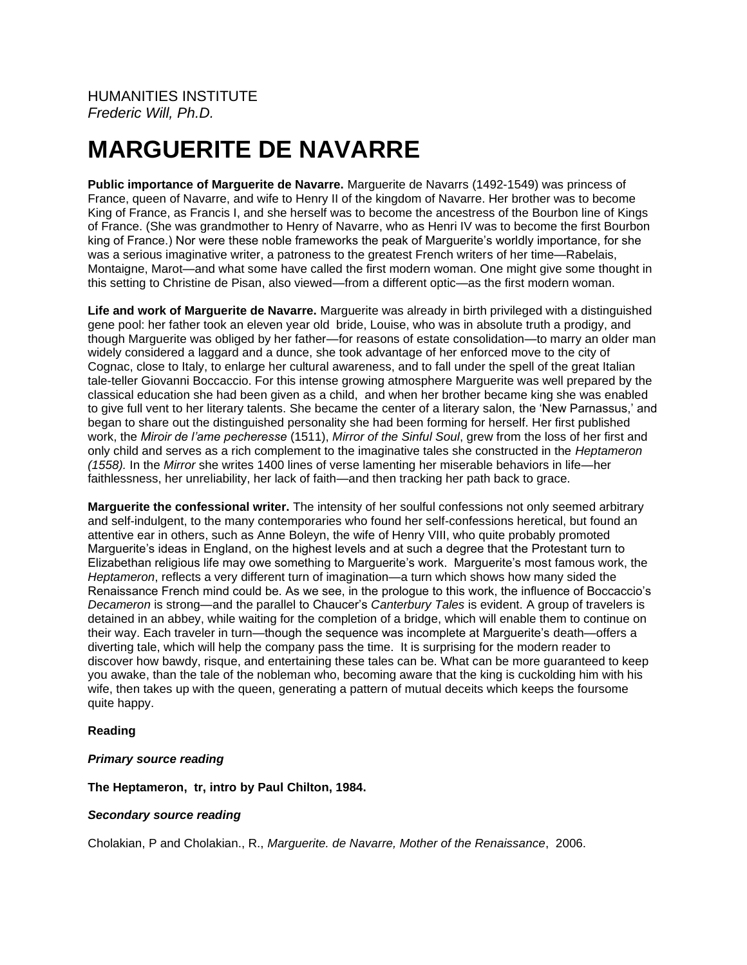HUMANITIES INSTITUTE *Frederic Will, Ph.D.*

# **MARGUERITE DE NAVARRE**

**Public importance of Marguerite de Navarre.** Marguerite de Navarrs (1492-1549) was princess of France, queen of Navarre, and wife to Henry II of the kingdom of Navarre. Her brother was to become King of France, as Francis I, and she herself was to become the ancestress of the Bourbon line of Kings of France. (She was grandmother to Henry of Navarre, who as Henri IV was to become the first Bourbon king of France.) Nor were these noble frameworks the peak of Marguerite's worldly importance, for she was a serious imaginative writer, a patroness to the greatest French writers of her time—Rabelais, Montaigne, Marot—and what some have called the first modern woman. One might give some thought in this setting to Christine de Pisan, also viewed—from a different optic—as the first modern woman.

**Life and work of Marguerite de Navarre.** Marguerite was already in birth privileged with a distinguished gene pool: her father took an eleven year old bride, Louise, who was in absolute truth a prodigy, and though Marguerite was obliged by her father—for reasons of estate consolidation—to marry an older man widely considered a laggard and a dunce, she took advantage of her enforced move to the city of Cognac, close to Italy, to enlarge her cultural awareness, and to fall under the spell of the great Italian tale-teller Giovanni Boccaccio. For this intense growing atmosphere Marguerite was well prepared by the classical education she had been given as a child, and when her brother became king she was enabled to give full vent to her literary talents. She became the center of a literary salon, the 'New Parnassus,' and began to share out the distinguished personality she had been forming for herself. Her first published work, the *Miroir de l'ame pecheresse* (1511), *Mirror of the Sinful Soul*, grew from the loss of her first and only child and serves as a rich complement to the imaginative tales she constructed in the *Heptameron (1558).* In the *Mirror* she writes 1400 lines of verse lamenting her miserable behaviors in life—her faithlessness, her unreliability, her lack of faith—and then tracking her path back to grace.

**Marguerite the confessional writer.** The intensity of her soulful confessions not only seemed arbitrary and self-indulgent, to the many contemporaries who found her self-confessions heretical, but found an attentive ear in others, such as Anne Boleyn, the wife of Henry VIII, who quite probably promoted Marguerite's ideas in England, on the highest levels and at such a degree that the Protestant turn to Elizabethan religious life may owe something to Marguerite's work. Marguerite's most famous work, the *Heptameron*, reflects a very different turn of imagination—a turn which shows how many sided the Renaissance French mind could be. As we see, in the prologue to this work, the influence of Boccaccio's *Decameron* is strong—and the parallel to Chaucer's *Canterbury Tales* is evident. A group of travelers is detained in an abbey, while waiting for the completion of a bridge, which will enable them to continue on their way. Each traveler in turn—though the sequence was incomplete at Marguerite's death—offers a diverting tale, which will help the company pass the time. It is surprising for the modern reader to discover how bawdy, risque, and entertaining these tales can be. What can be more guaranteed to keep you awake, than the tale of the nobleman who, becoming aware that the king is cuckolding him with his wife, then takes up with the queen, generating a pattern of mutual deceits which keeps the foursome quite happy.

## **Reading**

## *Primary source reading*

**The Heptameron, tr, intro by Paul Chilton, 1984.**

## *Secondary source reading*

Cholakian, P and Cholakian., R., *Marguerite. de Navarre, Mother of the Renaissance*, 2006.